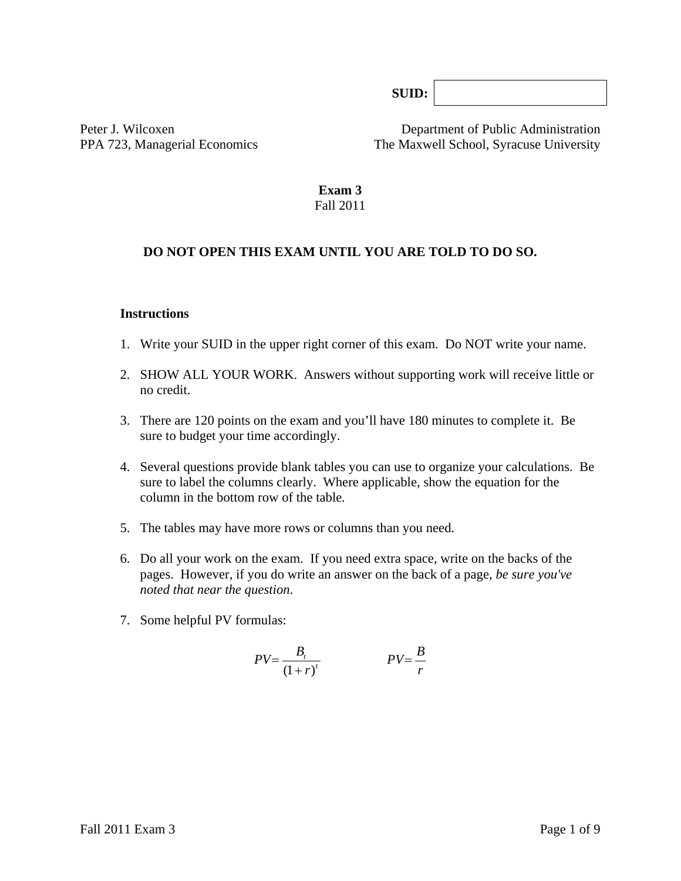**SUID:**

Peter J. Wilcoxen Department of Public Administration PPA 723, Managerial Economics The Maxwell School, Syracuse University

#### **Exam 3**  Fall 2011

#### **DO NOT OPEN THIS EXAM UNTIL YOU ARE TOLD TO DO SO.**

#### **Instructions**

- 1. Write your SUID in the upper right corner of this exam. Do NOT write your name.
- 2. SHOW ALL YOUR WORK. Answers without supporting work will receive little or no credit.
- 3. There are 120 points on the exam and you'll have 180 minutes to complete it. Be sure to budget your time accordingly.
- 4. Several questions provide blank tables you can use to organize your calculations. Be sure to label the columns clearly. Where applicable, show the equation for the column in the bottom row of the table*.*
- 5. The tables may have more rows or columns than you need.
- 6. Do all your work on the exam. If you need extra space, write on the backs of the pages. However, if you do write an answer on the back of a page, *be sure you've noted that near the question*.
- 7. Some helpful PV formulas:

$$
PV = \frac{B_t}{\left(1+r\right)^t} \qquad \qquad PV = \frac{B}{r}
$$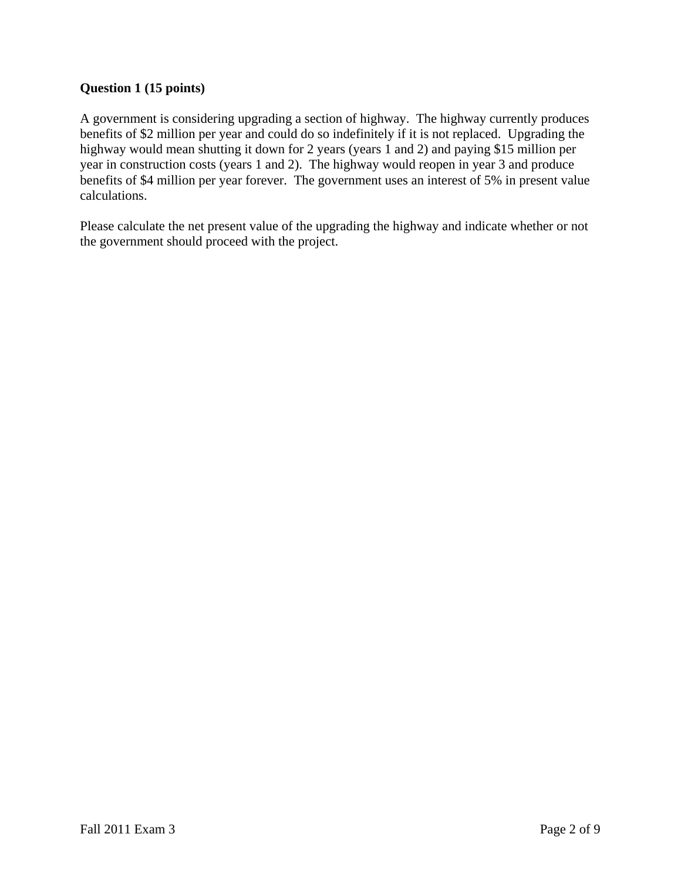# **Question 1 (15 points)**

A government is considering upgrading a section of highway. The highway currently produces benefits of \$2 million per year and could do so indefinitely if it is not replaced. Upgrading the highway would mean shutting it down for 2 years (years 1 and 2) and paying \$15 million per year in construction costs (years 1 and 2). The highway would reopen in year 3 and produce benefits of \$4 million per year forever. The government uses an interest of 5% in present value calculations.

Please calculate the net present value of the upgrading the highway and indicate whether or not the government should proceed with the project.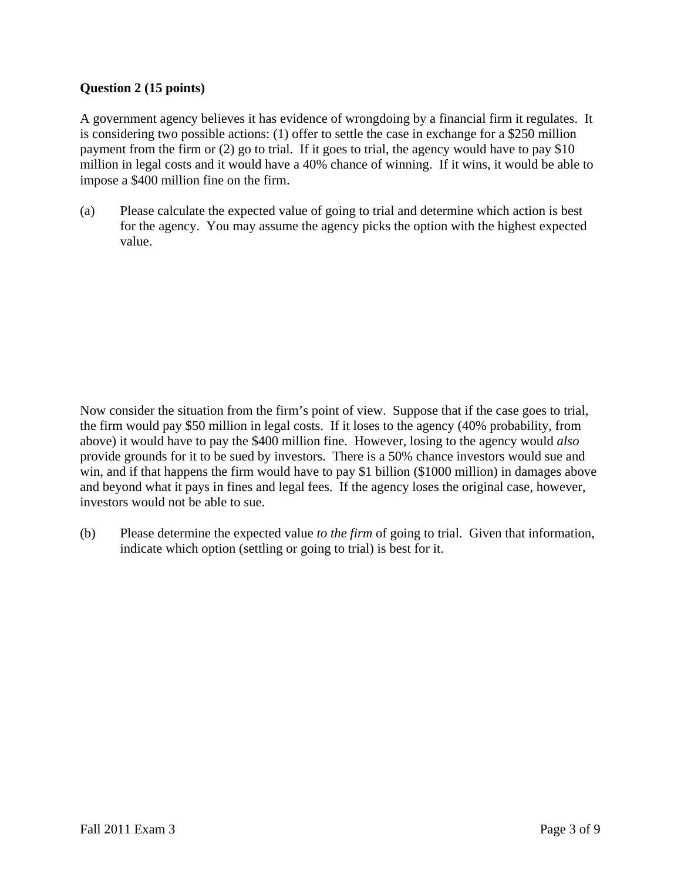## **Question 2 (15 points)**

A government agency believes it has evidence of wrongdoing by a financial firm it regulates. It is considering two possible actions: (1) offer to settle the case in exchange for a \$250 million payment from the firm or (2) go to trial. If it goes to trial, the agency would have to pay \$10 million in legal costs and it would have a 40% chance of winning. If it wins, it would be able to impose a \$400 million fine on the firm.

(a) Please calculate the expected value of going to trial and determine which action is best for the agency. You may assume the agency picks the option with the highest expected value.

Now consider the situation from the firm's point of view. Suppose that if the case goes to trial, the firm would pay \$50 million in legal costs. If it loses to the agency (40% probability, from above) it would have to pay the \$400 million fine. However, losing to the agency would *also* provide grounds for it to be sued by investors. There is a 50% chance investors would sue and win, and if that happens the firm would have to pay \$1 billion (\$1000 million) in damages above and beyond what it pays in fines and legal fees. If the agency loses the original case, however, investors would not be able to sue.

(b) Please determine the expected value *to the firm* of going to trial. Given that information, indicate which option (settling or going to trial) is best for it.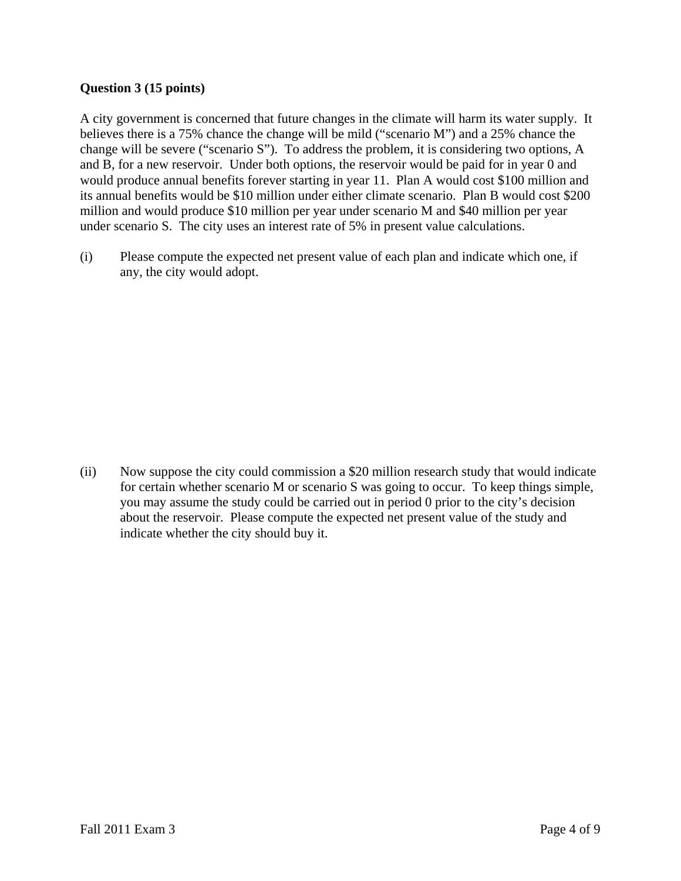## **Question 3 (15 points)**

A city government is concerned that future changes in the climate will harm its water supply. It believes there is a 75% chance the change will be mild ("scenario M") and a 25% chance the change will be severe ("scenario S"). To address the problem, it is considering two options, A and B, for a new reservoir. Under both options, the reservoir would be paid for in year 0 and would produce annual benefits forever starting in year 11. Plan A would cost \$100 million and its annual benefits would be \$10 million under either climate scenario. Plan B would cost \$200 million and would produce \$10 million per year under scenario M and \$40 million per year under scenario S. The city uses an interest rate of 5% in present value calculations.

(i) Please compute the expected net present value of each plan and indicate which one, if any, the city would adopt.

(ii) Now suppose the city could commission a \$20 million research study that would indicate for certain whether scenario M or scenario S was going to occur. To keep things simple, you may assume the study could be carried out in period 0 prior to the city's decision about the reservoir. Please compute the expected net present value of the study and indicate whether the city should buy it.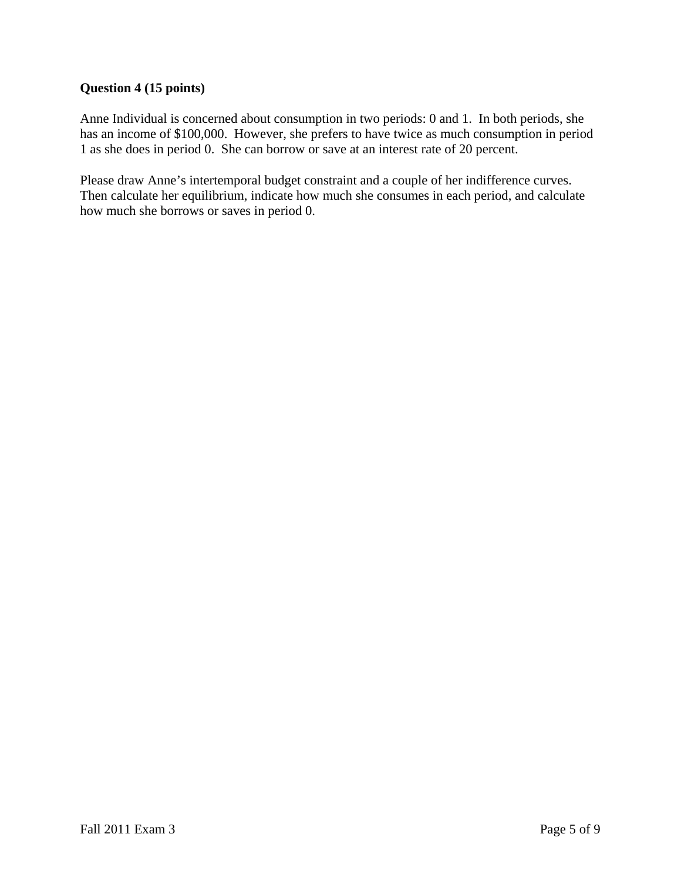## **Question 4 (15 points)**

Anne Individual is concerned about consumption in two periods: 0 and 1. In both periods, she has an income of \$100,000. However, she prefers to have twice as much consumption in period 1 as she does in period 0. She can borrow or save at an interest rate of 20 percent.

Please draw Anne's intertemporal budget constraint and a couple of her indifference curves. Then calculate her equilibrium, indicate how much she consumes in each period, and calculate how much she borrows or saves in period 0.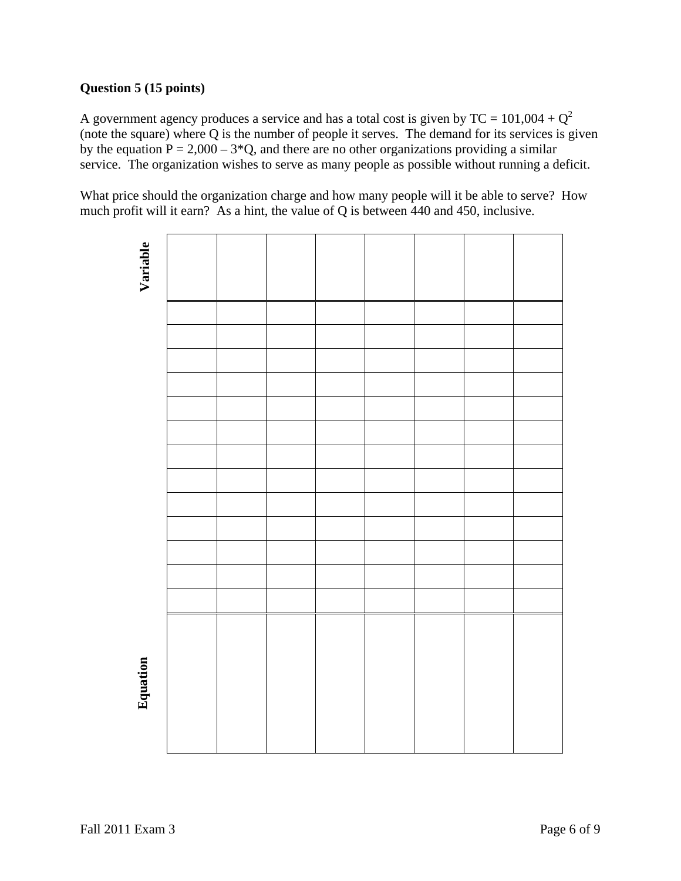# **Question 5 (15 points)**

A government agency produces a service and has a total cost is given by  $TC = 101,004 + Q^2$ (note the square) where Q is the number of people it serves. The demand for its services is given by the equation  $P = 2,000 - 3*Q$ , and there are no other organizations providing a similar service. The organization wishes to serve as many people as possible without running a deficit.

What price should the organization charge and how many people will it be able to serve? How much profit will it earn? As a hint, the value of Q is between 440 and 450, inclusive.

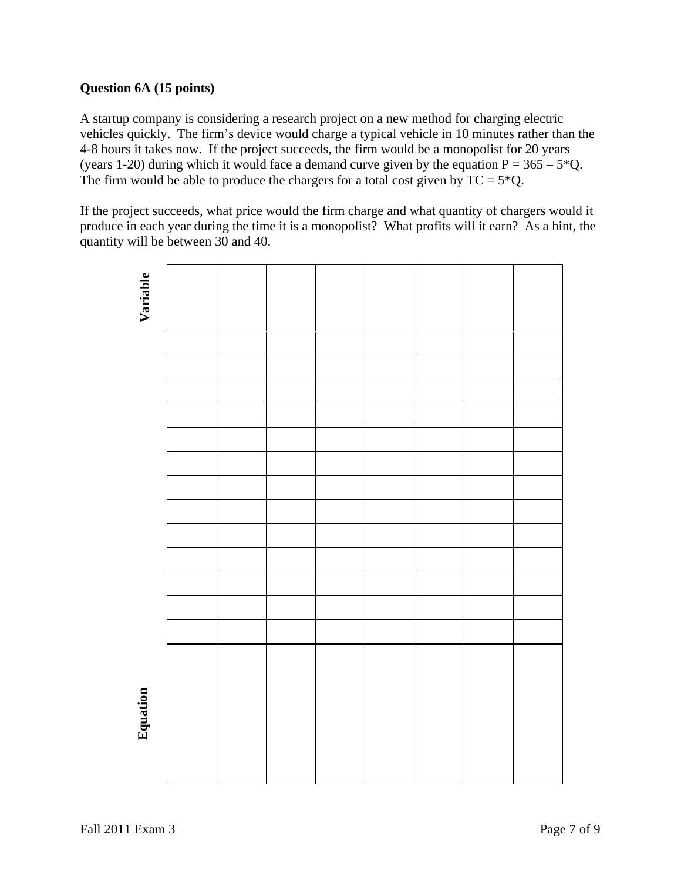## **Question 6A (15 points)**

A startup company is considering a research project on a new method for charging electric vehicles quickly. The firm's device would charge a typical vehicle in 10 minutes rather than the 4-8 hours it takes now. If the project succeeds, the firm would be a monopolist for 20 years (years 1-20) during which it would face a demand curve given by the equation  $P = 365 - 5*Q$ . The firm would be able to produce the chargers for a total cost given by  $TC = 5*Q$ .

If the project succeeds, what price would the firm charge and what quantity of chargers would it produce in each year during the time it is a monopolist? What profits will it earn? As a hint, the quantity will be between 30 and 40.

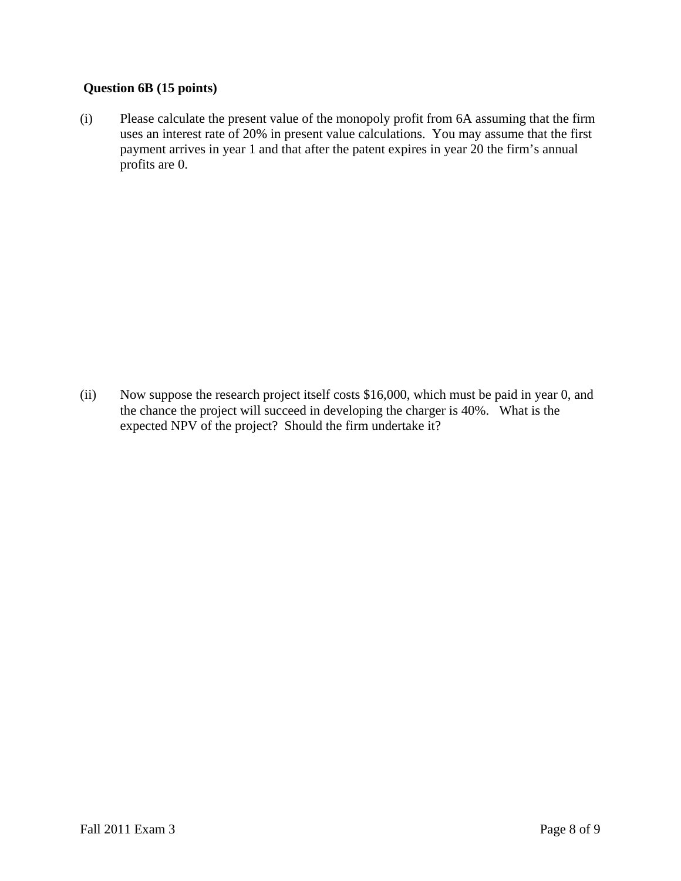# **Question 6B (15 points)**

(i) Please calculate the present value of the monopoly profit from 6A assuming that the firm uses an interest rate of 20% in present value calculations. You may assume that the first payment arrives in year 1 and that after the patent expires in year 20 the firm's annual profits are 0.

(ii) Now suppose the research project itself costs \$16,000, which must be paid in year 0, and the chance the project will succeed in developing the charger is 40%. What is the expected NPV of the project? Should the firm undertake it?